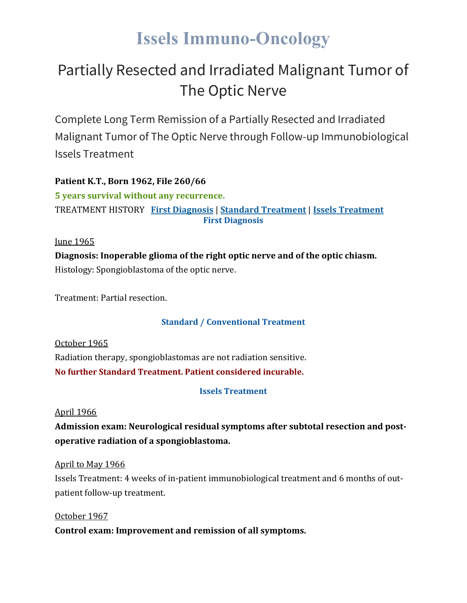# **Issels Immuno-Oncology**

### Partially Resected and Irradiated Malignant Tumor of The Optic Nerve

Complete Long Term Remission of a Partially Resected and Irradiated Malignant Tumor of The Optic Nerve through Follow-up Immunobiological Issels Treatment

**Patient K.T., Born 1962, File 260/66 5 years survival without any recurrence.** TREATMENT HISTORY **First [Diagnosis](https://issels.com/cancer-cases/optic-nerve-resected-irradiated-malignant-tumor/#First)** | **Standard [Treatment](https://issels.com/cancer-cases/optic-nerve-resected-irradiated-malignant-tumor/#Standard)** | **Issels [Treatment](https://issels.com/cancer-cases/optic-nerve-resected-irradiated-malignant-tumor/#Issels) First Diagnosis**

<u>Iune 1965</u>

**Diagnosis: Inoperable glioma of the right optic nerve and of the optic chiasm.** Histology: Spongioblastoma of the optic nerve.

Treatment: Partial resection.

#### **Standard / Conventional Treatment**

October 1965 Radiation therapy, spongioblastomas are not radiation sensitive. **No further Standard Treatment. Patient considered incurable.**

#### **Issels Treatment**

April 1966

**Admission exam: Neurological residual symptoms after subtotal resection and postoperative radiation of a spongioblastoma.**

April to May 1966

Issels Treatment: 4 weeks of in-patient immunobiological treatment and 6 months of outpatient follow-up treatment.

October 1967 **Control exam: Improvement and remission of all symptoms.**